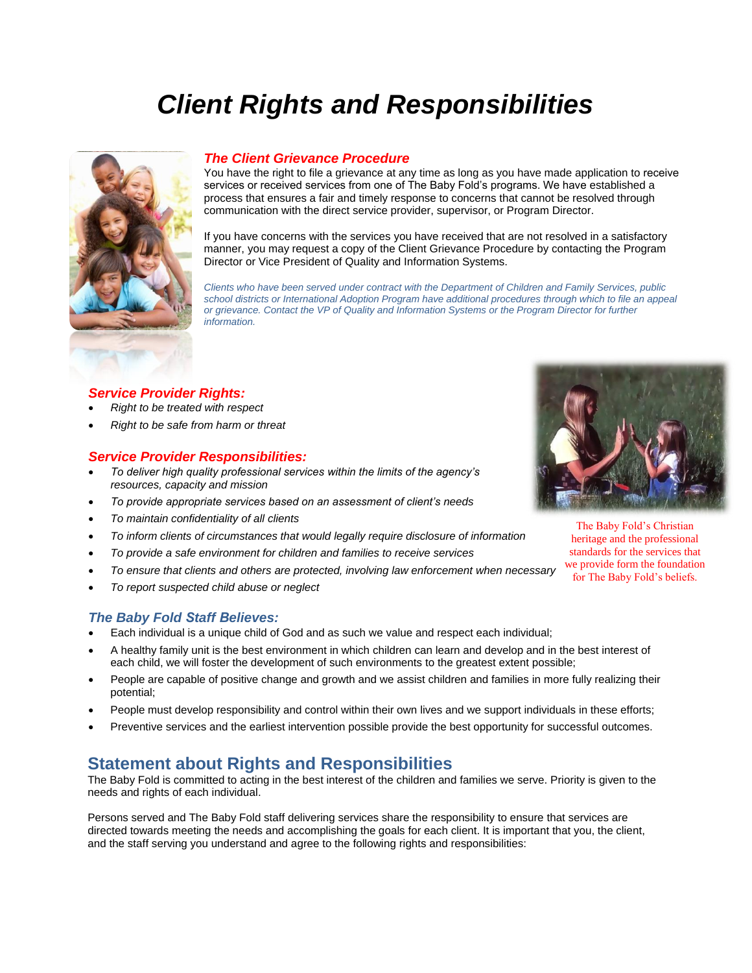# *Client Rights and Responsibilities*



## *The Client Grievance Procedure*

You have the right to file a grievance at any time as long as you have made application to receive services or received services from one of The Baby Fold's programs. We have established a process that ensures a fair and timely response to concerns that cannot be resolved through communication with the direct service provider, supervisor, or Program Director.

If you have concerns with the services you have received that are not resolved in a satisfactory manner, you may request a copy of the Client Grievance Procedure by contacting the Program Director or Vice President of Quality and Information Systems.

*Clients who have been served under contract with the Department of Children and Family Services, public school districts or International Adoption Program have additional procedures through which to file an appeal or grievance. Contact the VP of Quality and Information Systems or the Program Director for further information.* 

## *Service Provider Rights:*

- *Right to be treated with respect*
- *Right to be safe from harm or threat*

#### *Service Provider Responsibilities:*

- *To deliver high quality professional services within the limits of the agency's resources, capacity and mission*
- *To provide appropriate services based on an assessment of client's needs*
- *To maintain confidentiality of all clients*
- *To inform clients of circumstances that would legally require disclosure of information*
- *To provide a safe environment for children and families to receive services*
- *To ensure that clients and others are protected, involving law enforcement when necessary*
- *To report suspected child abuse or neglect*

#### *The Baby Fold Staff Believes:*

- Each individual is a unique child of God and as such we value and respect each individual;
- A healthy family unit is the best environment in which children can learn and develop and in the best interest of each child, we will foster the development of such environments to the greatest extent possible;
- People are capable of positive change and growth and we assist children and families in more fully realizing their potential;
- People must develop responsibility and control within their own lives and we support individuals in these efforts;
- Preventive services and the earliest intervention possible provide the best opportunity for successful outcomes.

## **Statement about Rights and Responsibilities**

The Baby Fold is committed to acting in the best interest of the children and families we serve. Priority is given to the needs and rights of each individual.

Persons served and The Baby Fold staff delivering services share the responsibility to ensure that services are directed towards meeting the needs and accomplishing the goals for each client. It is important that you, the client, and the staff serving you understand and agree to the following rights and responsibilities:



The Baby Fold's Christian heritage and the professional standards for the services that we provide form the foundation for The Baby Fold's beliefs.